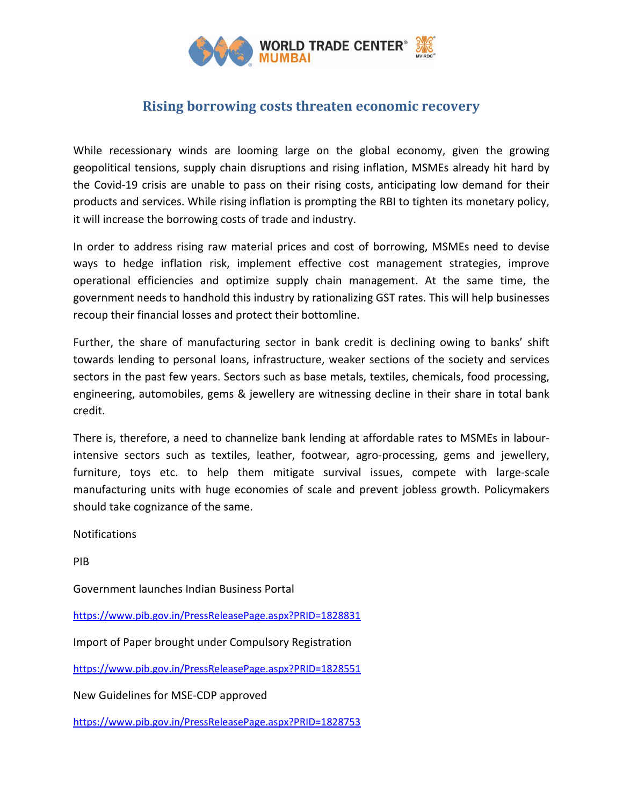

## **Rising borrowing costs threaten economic recovery**

While recessionary winds are looming large on the global economy, given the growing geopolitical tensions, supply chain disruptions and rising inflation, MSMEs already hit hard by the Covid-19 crisis are unable to pass on their rising costs, anticipating low demand for their products and services. While rising inflation is prompting the RBI to tighten its monetary policy, it will increase the borrowing costs of trade and industry.

In order to address rising raw material prices and cost of borrowing, MSMEs need to devise ways to hedge inflation risk, implement effective cost management strategies, improve operational efficiencies and optimize supply chain management. At the same time, the government needs to handhold this industry by rationalizing GST rates. This will help businesses recoup their financial losses and protect their bottomline.

Further, the share of manufacturing sector in bank credit is declining owing to banks' shift towards lending to personal loans, infrastructure, weaker sections of the society and services sectors in the past few years. Sectors such as base metals, textiles, chemicals, food processing, engineering, automobiles, gems & jewellery are witnessing decline in their share in total bank credit.

There is, therefore, a need to channelize bank lending at affordable rates to MSMEs in labourintensive sectors such as textiles, leather, footwear, agro-processing, gems and jewellery, furniture, toys etc. to help them mitigate survival issues, compete with large-scale manufacturing units with huge economies of scale and prevent jobless growth. Policymakers should take cognizance of the same.

Notifications

PIB

Government launches Indian Business Portal

<https://www.pib.gov.in/PressReleasePage.aspx?PRID=1828831>

Import of Paper brought under Compulsory Registration

<https://www.pib.gov.in/PressReleasePage.aspx?PRID=1828551>

New Guidelines for MSE-CDP approved

<https://www.pib.gov.in/PressReleasePage.aspx?PRID=1828753>